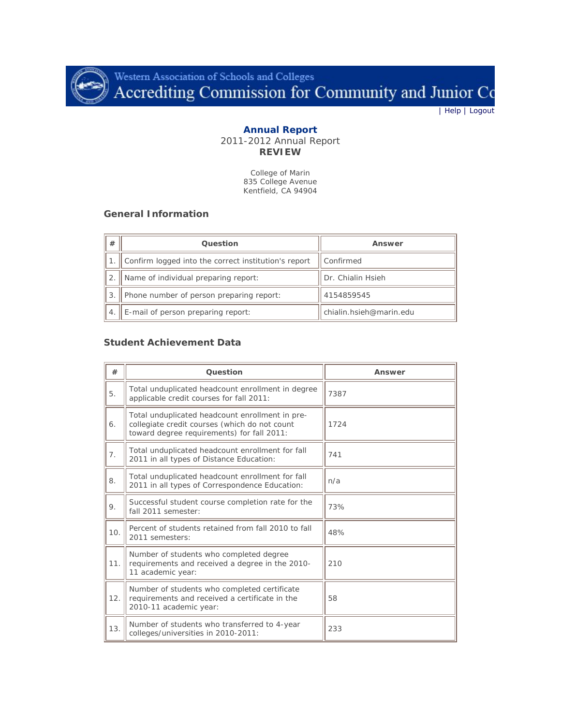

Western Association of Schools and Colleges<br>Accrediting Commission for Community and Junior Co

| [Help](http://www.accjc.org/annualreport/help.php) | [Logout](http://www.accjc.org/annualreport/logout.php)

### **Annual Report** 2011-2012 Annual Report **REVIEW**

College of Marin 835 College Avenue Kentfield, CA 94904

### **General Information**

| # | Question                                             | Answer                  |
|---|------------------------------------------------------|-------------------------|
|   | Confirm logged into the correct institution's report | Confirmed               |
|   | Name of individual preparing report:                 | Dr. Chialin Hsieh       |
|   | Phone number of person preparing report:             | 4154859545              |
|   | E-mail of person preparing report:                   | chialin.hsieh@marin.edu |

## **Student Achievement Data**

| #   | Question                                                                                                                                       | Answer |
|-----|------------------------------------------------------------------------------------------------------------------------------------------------|--------|
| 5.  | Total unduplicated headcount enrollment in degree<br>applicable credit courses for fall 2011:                                                  | 7387   |
| 6.  | Total unduplicated headcount enrollment in pre-<br>collegiate credit courses (which do not count<br>toward degree requirements) for fall 2011: | 1724   |
| 7.  | Total unduplicated headcount enrollment for fall<br>2011 in all types of Distance Education:                                                   | 741    |
| 8.  | Total unduplicated headcount enrollment for fall<br>2011 in all types of Correspondence Education:                                             | n/a    |
| 9.  | Successful student course completion rate for the<br>fall 2011 semester:                                                                       | 73%    |
| 10. | Percent of students retained from fall 2010 to fall<br>2011 semesters:                                                                         | 48%    |
| 11. | Number of students who completed degree<br>requirements and received a degree in the 2010-<br>11 academic year:                                | 210    |
| 12. | Number of students who completed certificate<br>requirements and received a certificate in the<br>2010-11 academic year:                       | 58     |
| 13. | Number of students who transferred to 4-year<br>colleges/universities in 2010-2011:                                                            | 233    |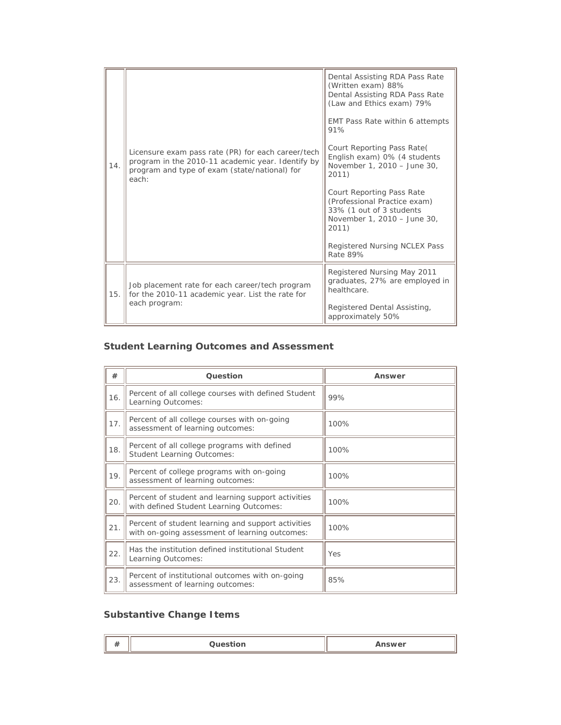| 14. | Licensure exam pass rate (PR) for each career/tech<br>program in the 2010-11 academic year. Identify by<br>program and type of exam (state/national) for<br>each: | Dental Assisting RDA Pass Rate<br>(Written exam) 88%<br>Dental Assisting RDA Pass Rate<br>(Law and Ethics exam) 79%<br>EMT Pass Rate within 6 attempts<br>91%<br>Court Reporting Pass Rate<br>English exam) 0% (4 students<br>November 1, 2010 - June 30,<br>2011)<br>Court Reporting Pass Rate<br>(Professional Practice exam)<br>33% (1 out of 3 students<br>November 1, 2010 - June 30,<br>2011)<br>Registered Nursing NCLEX Pass<br>Rate 89% |
|-----|-------------------------------------------------------------------------------------------------------------------------------------------------------------------|--------------------------------------------------------------------------------------------------------------------------------------------------------------------------------------------------------------------------------------------------------------------------------------------------------------------------------------------------------------------------------------------------------------------------------------------------|
| 15. | Job placement rate for each career/tech program<br>for the 2010-11 academic year. List the rate for<br>each program:                                              | Registered Nursing May 2011<br>graduates, 27% are employed in<br>healthcare.<br>Registered Dental Assisting,<br>approximately 50%                                                                                                                                                                                                                                                                                                                |

# **Student Learning Outcomes and Assessment**

| #   | Question                                                                                             | Answer |
|-----|------------------------------------------------------------------------------------------------------|--------|
| 16. | Percent of all college courses with defined Student<br>Learning Outcomes:                            | 99%    |
| 17. | Percent of all college courses with on-going<br>assessment of learning outcomes:                     | 100%   |
| 18. | Percent of all college programs with defined<br><b>Student Learning Outcomes:</b>                    | 100%   |
| 19. | Percent of college programs with on-going<br>assessment of learning outcomes:                        | 100%   |
| 20. | Percent of student and learning support activities<br>with defined Student Learning Outcomes:        | 100%   |
| 21. | Percent of student learning and support activities<br>with on-going assessment of learning outcomes: | 100%   |
| 22. | Has the institution defined institutional Student<br>Learning Outcomes:                              | Yes    |
| 23. | Percent of institutional outcomes with on-going<br>assessment of learning outcomes:                  | 85%    |

# **Substantive Change Items**

| <br><br>_____<br>ш | <b>iswer</b> |
|--------------------|--------------|
|--------------------|--------------|